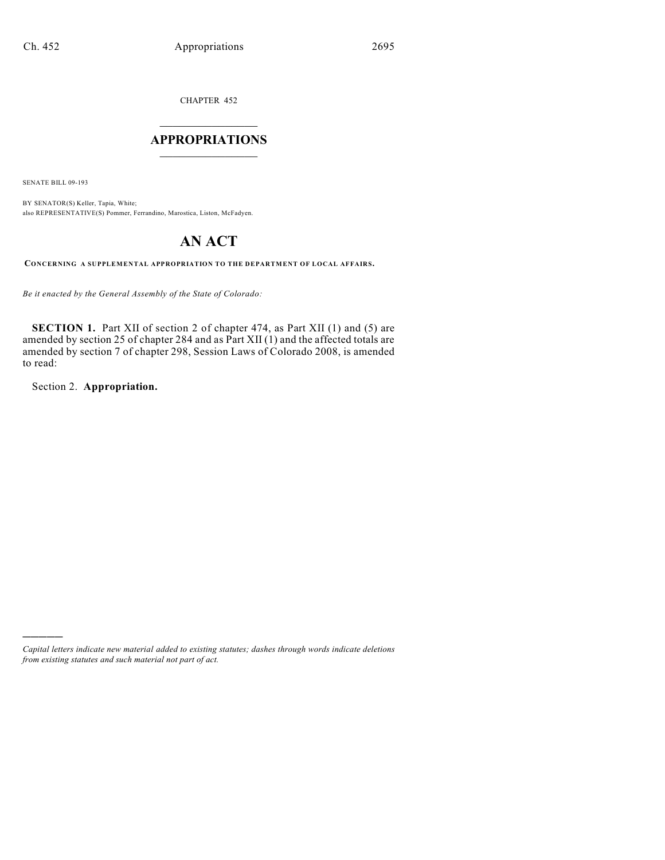CHAPTER 452

# $\mathcal{L}_\text{max}$  . The set of the set of the set of the set of the set of the set of the set of the set of the set of the set of the set of the set of the set of the set of the set of the set of the set of the set of the set **APPROPRIATIONS**  $\_$   $\_$   $\_$   $\_$   $\_$   $\_$   $\_$   $\_$

SENATE BILL 09-193

BY SENATOR(S) Keller, Tapia, White; also REPRESENTATIVE(S) Pommer, Ferrandino, Marostica, Liston, McFadyen.

# **AN ACT**

**CONCERNING A SUPPLEMENTAL APPROPRIATION TO THE DEPARTMENT OF LOCAL AFFAIRS.**

*Be it enacted by the General Assembly of the State of Colorado:*

**SECTION 1.** Part XII of section 2 of chapter 474, as Part XII (1) and (5) are amended by section 25 of chapter 284 and as Part XII (1) and the affected totals are amended by section 7 of chapter 298, Session Laws of Colorado 2008, is amended to read:

Section 2. **Appropriation.**

)))))

*Capital letters indicate new material added to existing statutes; dashes through words indicate deletions from existing statutes and such material not part of act.*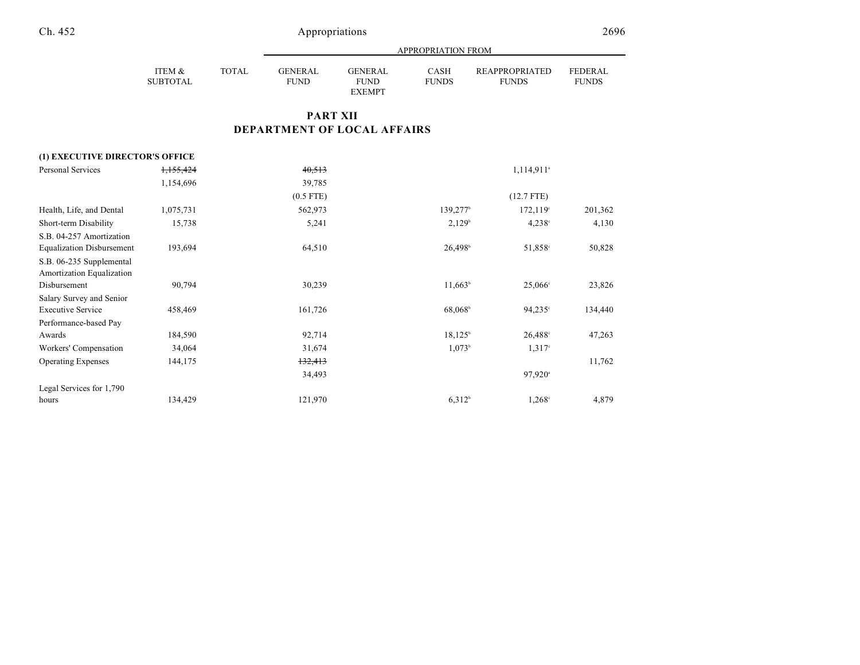|                    |       | APPROPRIATION FROM            |                                                |                             |                                |                                |  |  |
|--------------------|-------|-------------------------------|------------------------------------------------|-----------------------------|--------------------------------|--------------------------------|--|--|
| ITEM &<br>SUBTOTAL | TOTAL | <b>GENERAL</b><br><b>FUND</b> | <b>GENERAL</b><br><b>FUND</b><br><b>EXEMPT</b> | <b>CASH</b><br><b>FUNDS</b> | REAPPROPRIATED<br><b>FUNDS</b> | <b>FEDERAL</b><br><b>FUNDS</b> |  |  |

# **PART XII DEPARTMENT OF LOCAL AFFAIRS**

| (1) EXECUTIVE DIRECTOR'S OFFICE  |           |             |                        |                          |         |
|----------------------------------|-----------|-------------|------------------------|--------------------------|---------|
| Personal Services                | 1,155,424 | 40,513      |                        | $1,114,911$ <sup>a</sup> |         |
|                                  | 1,154,696 | 39,785      |                        |                          |         |
|                                  |           | $(0.5$ FTE) |                        | $(12.7$ FTE)             |         |
| Health, Life, and Dental         | 1,075,731 | 562,973     | $139,277$ <sup>b</sup> | 172,119°                 | 201,362 |
| Short-term Disability            | 15,738    | 5,241       | 2,129 <sup>b</sup>     | $4,238^{\circ}$          | 4,130   |
| S.B. 04-257 Amortization         |           |             |                        |                          |         |
| <b>Equalization Disbursement</b> | 193,694   | 64,510      | $26,498$ <sup>b</sup>  | 51,858°                  | 50,828  |
| S.B. 06-235 Supplemental         |           |             |                        |                          |         |
| Amortization Equalization        |           |             |                        |                          |         |
| Disbursement                     | 90,794    | 30,239      | $11,663^b$             | $25,066^{\circ}$         | 23,826  |
| Salary Survey and Senior         |           |             |                        |                          |         |
| <b>Executive Service</b>         | 458,469   | 161,726     | 68,068 <sup>b</sup>    | $94,235^{\circ}$         | 134,440 |
| Performance-based Pay            |           |             |                        |                          |         |
| Awards                           | 184,590   | 92,714      | $18,125^{\circ}$       | $26,488^{\circ}$         | 47,263  |
| Workers' Compensation            | 34,064    | 31,674      | 1,073 <sup>b</sup>     | $1,317^{\circ}$          |         |
| <b>Operating Expenses</b>        | 144,175   | 132,413     |                        |                          | 11,762  |
|                                  |           | 34,493      |                        | $97,920$ <sup>a</sup>    |         |
| Legal Services for 1,790         |           |             |                        |                          |         |
| hours                            | 134,429   | 121,970     | 6,312 <sup>b</sup>     | $1,268^{\circ}$          | 4,879   |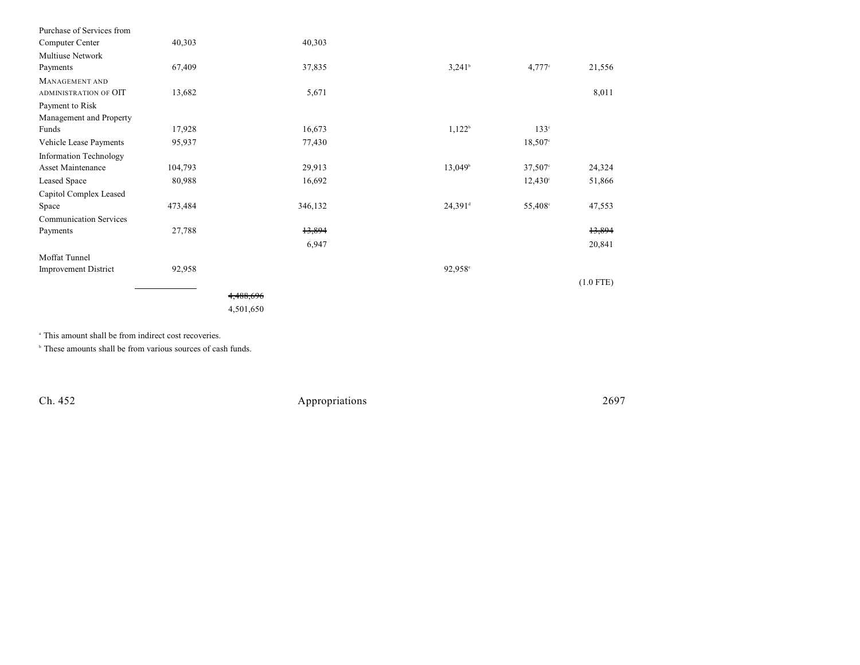| Purchase of Services from     |         |           |                       |                      |             |
|-------------------------------|---------|-----------|-----------------------|----------------------|-------------|
| Computer Center               | 40,303  | 40,303    |                       |                      |             |
| Multiuse Network              |         |           |                       |                      |             |
| Payments                      | 67,409  | 37,835    | $3,241$ <sup>b</sup>  | $4,777$ <sup>c</sup> | 21,556      |
| <b>MANAGEMENT AND</b>         |         |           |                       |                      |             |
| ADMINISTRATION OF OIT         | 13,682  | 5,671     |                       |                      | 8,011       |
| Payment to Risk               |         |           |                       |                      |             |
| Management and Property       |         |           |                       |                      |             |
| Funds                         | 17,928  | 16,673    | $1,122^b$             | $133^\circ$          |             |
| Vehicle Lease Payments        | 95,937  | 77,430    |                       | $18,507$ °           |             |
| <b>Information Technology</b> |         |           |                       |                      |             |
| Asset Maintenance             | 104,793 | 29,913    | $13,049^{\circ}$      | $37,507$ °           | 24,324      |
| Leased Space                  | 80,988  | 16,692    |                       | $12,430^{\circ}$     | 51,866      |
| Capitol Complex Leased        |         |           |                       |                      |             |
| Space                         | 473,484 | 346,132   | $24,391$ <sup>d</sup> | 55,408 <sup>c</sup>  | 47,553      |
| <b>Communication Services</b> |         |           |                       |                      |             |
| Payments                      | 27,788  | 13,894    |                       |                      | 13,894      |
|                               |         | 6,947     |                       |                      | 20,841      |
| Moffat Tunnel                 |         |           |                       |                      |             |
| <b>Improvement District</b>   | 92,958  |           | $92,958$ °            |                      |             |
|                               |         |           |                       |                      | $(1.0$ FTE) |
|                               |         | 4,488,696 |                       |                      |             |
|                               |         | 4,501,650 |                       |                      |             |
|                               |         |           |                       |                      |             |

<sup>a</sup> This amount shall be from indirect cost recoveries.

 $\circ$  These amounts shall be from various sources of cash funds.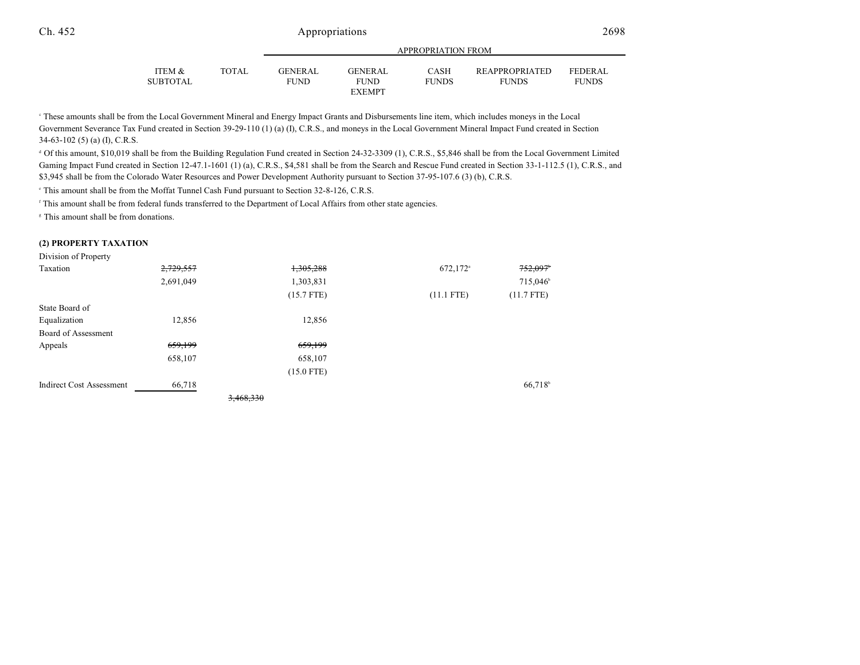| <b>APPROPRIATION FROM</b> |                                           |                             |                                                   |  |  |
|---------------------------|-------------------------------------------|-----------------------------|---------------------------------------------------|--|--|
| $C$ and $T$ and $T$       | $\sim$ $\sim$ $\sim$ $\sim$ $\sim$ $\sim$ | $\sim$ $\sim$ $\sim$ $\sim$ | <b>BD</b> <i>i</i> BBB $\bigcap$ BBC <i>i</i> BBB |  |  |

| ITEM &   | <b>TOTAL</b> | <b>GENERAL</b> | <b>GENERAL</b> | CASH         | <b>REAPPROPRIATED</b> | <b>FEDERAL</b> |
|----------|--------------|----------------|----------------|--------------|-----------------------|----------------|
| SUBTOTAL |              | <b>FUND</b>    | FUND           | <b>FUNDS</b> | <b>FUNDS</b>          | <b>FUNDS</b>   |
|          |              |                | <b>EXEMPT</b>  |              |                       |                |

 These amounts shall be from the Local Government Mineral and Energy Impact Grants and Disbursements line item, which includes moneys in the Local <sup>c</sup> Government Severance Tax Fund created in Section 39-29-110 (1) (a) (I), C.R.S., and moneys in the Local Government Mineral Impact Fund created in Section 34-63-102 (5) (a) (I), C.R.S.

 Of this amount, \$10,019 shall be from the Building Regulation Fund created in Section 24-32-3309 (1), C.R.S., \$5,846 shall be from the Local Government Limited <sup>d</sup> Gaming Impact Fund created in Section 12-47.1-1601 (1) (a), C.R.S., \$4,581 shall be from the Search and Rescue Fund created in Section 33-1-112.5 (1), C.R.S., and \$3,945 shall be from the Colorado Water Resources and Power Development Authority pursuant to Section 37-95-107.6 (3) (b), C.R.S.

<sup>e</sup> This amount shall be from the Moffat Tunnel Cash Fund pursuant to Section 32-8-126, C.R.S.

This amount shall be from federal funds transferred to the Department of Local Affairs from other state agencies.

<sup>8</sup> This amount shall be from donations.

#### **(2) PROPERTY TAXATION**

Division of Property

| Taxation                        | 2,729,557 |           | 1,305,288    | 672,172 <sup>a</sup> | 752,097              |
|---------------------------------|-----------|-----------|--------------|----------------------|----------------------|
|                                 | 2,691,049 |           | 1,303,831    |                      | 715,046 <sup>b</sup> |
|                                 |           |           | $(15.7$ FTE) | $(11.1$ FTE)         | $(11.7$ FTE)         |
| State Board of                  |           |           |              |                      |                      |
| Equalization                    | 12,856    |           | 12,856       |                      |                      |
| Board of Assessment             |           |           |              |                      |                      |
| Appeals                         | 659,199   |           | 659,199      |                      |                      |
|                                 | 658,107   |           | 658,107      |                      |                      |
|                                 |           |           | $(15.0$ FTE) |                      |                      |
| <b>Indirect Cost Assessment</b> | 66,718    |           |              |                      | 66,718 <sup>b</sup>  |
|                                 |           | 3,468,330 |              |                      |                      |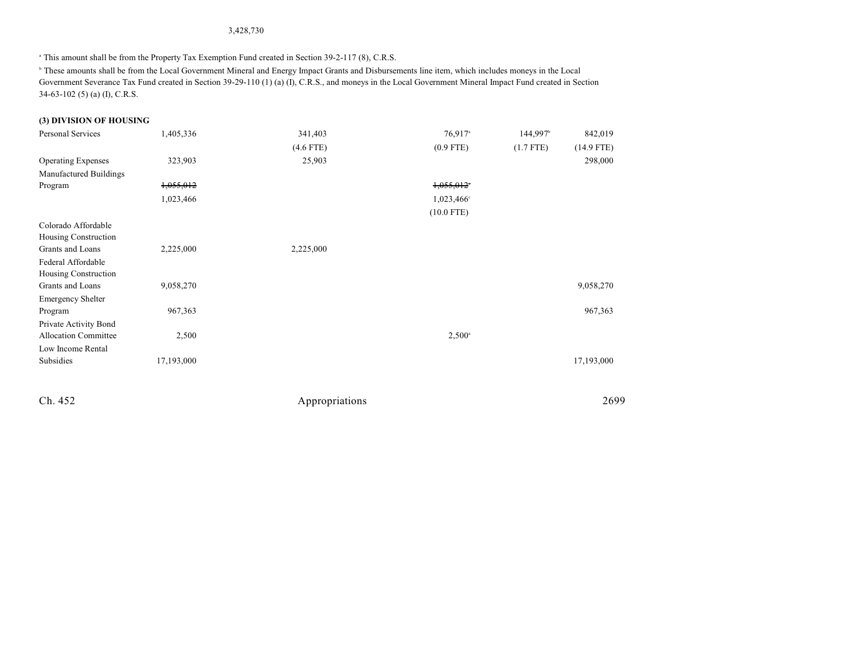### 3,428,730

<sup>a</sup> This amount shall be from the Property Tax Exemption Fund created in Section 39-2-117 (8), C.R.S.

 These amounts shall be from the Local Government Mineral and Energy Impact Grants and Disbursements line item, which includes moneys in the Local <sup>b</sup> Government Severance Tax Fund created in Section 39-29-110 (1) (a) (I), C.R.S., and moneys in the Local Government Mineral Impact Fund created in Section 34-63-102 (5) (a) (I), C.R.S.

### **(3) DIVISION OF HOUSING**

| Personal Services           | 1,405,336  | 341,403     | $76,917$ <sup>a</sup>  | 144,997 <sup>b</sup> | 842,019      |
|-----------------------------|------------|-------------|------------------------|----------------------|--------------|
|                             |            | $(4.6$ FTE) | $(0.9$ FTE)            | $(1.7$ FTE)          | $(14.9$ FTE) |
| <b>Operating Expenses</b>   | 323,903    | 25,903      |                        |                      | 298,000      |
| Manufactured Buildings      |            |             |                        |                      |              |
| Program                     | 1,055,012  |             | 1,055,012              |                      |              |
|                             | 1,023,466  |             | 1,023,466 <sup>c</sup> |                      |              |
|                             |            |             | $(10.0$ FTE)           |                      |              |
| Colorado Affordable         |            |             |                        |                      |              |
| Housing Construction        |            |             |                        |                      |              |
| Grants and Loans            | 2,225,000  | 2,225,000   |                        |                      |              |
| Federal Affordable          |            |             |                        |                      |              |
| Housing Construction        |            |             |                        |                      |              |
| Grants and Loans            | 9,058,270  |             |                        |                      | 9,058,270    |
| <b>Emergency Shelter</b>    |            |             |                        |                      |              |
| Program                     | 967,363    |             |                        |                      | 967,363      |
| Private Activity Bond       |            |             |                        |                      |              |
| <b>Allocation Committee</b> | 2,500      |             | $2,500^{\circ}$        |                      |              |
| Low Income Rental           |            |             |                        |                      |              |
| Subsidies                   | 17,193,000 |             |                        |                      | 17,193,000   |
|                             |            |             |                        |                      |              |
|                             |            |             |                        |                      |              |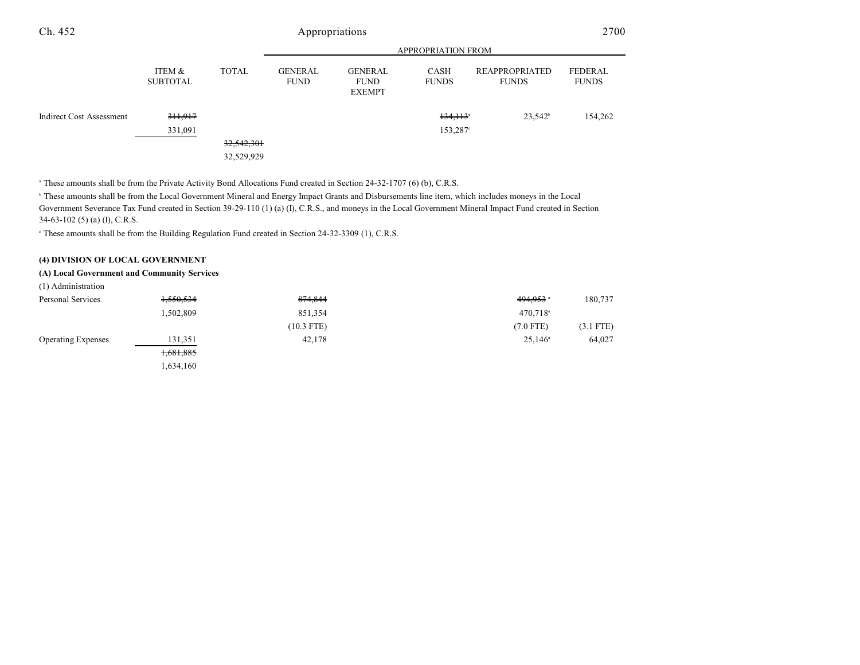|                                 |                           |              | <b>APPROPRIATION FROM</b>     |                                                |                      |                                       |                         |
|---------------------------------|---------------------------|--------------|-------------------------------|------------------------------------------------|----------------------|---------------------------------------|-------------------------|
|                                 | ITEM &<br><b>SUBTOTAL</b> | <b>TOTAL</b> | <b>GENERAL</b><br><b>FUND</b> | <b>GENERAL</b><br><b>FUND</b><br><b>EXEMPT</b> | CASH<br><b>FUNDS</b> | <b>REAPPROPRIATED</b><br><b>FUNDS</b> | FEDERAL<br><b>FUNDS</b> |
| <b>Indirect Cost Assessment</b> | 311,917                   |              |                               |                                                | 134,113              | $23.542^b$                            | 154,262                 |
|                                 | 331,091                   |              |                               |                                                | 153,287°             |                                       |                         |
|                                 |                           | 32,542,301   |                               |                                                |                      |                                       |                         |
|                                 |                           | 32,529,929   |                               |                                                |                      |                                       |                         |

<sup>a</sup> These amounts shall be from the Private Activity Bond Allocations Fund created in Section 24-32-1707 (6) (b), C.R.S.

<sup>b</sup> These amounts shall be from the Local Government Mineral and Energy Impact Grants and Disbursements line item, which includes moneys in the Local Government Severance Tax Fund created in Section 39-29-110 (1) (a) (I), C.R.S., and moneys in the Local Government Mineral Impact Fund created in Section 34-63-102 (5) (a) (I), C.R.S.

These amounts shall be from the Building Regulation Fund created in Section 24-32-3309 (1), C.R.S. <sup>c</sup>

#### **(4) DIVISION OF LOCAL GOVERNMENT**

#### **(A) Local Government and Community Services**

| (1) Administration |  |
|--------------------|--|
|                    |  |

| Personal Services         | 1,550,534 | 874,844      | 494,953              | 180,737     |
|---------------------------|-----------|--------------|----------------------|-------------|
|                           | 1,502,809 | 851,354      | 470,718 <sup>a</sup> |             |
|                           |           | $(10.3$ FTE) | $(7.0$ FTE)          | $(3.1$ FTE) |
| <b>Operating Expenses</b> | 131,351   | 42,178       | $25,146^{\circ}$     | 64,027      |
|                           | 1,681,885 |              |                      |             |
|                           | 1,634,160 |              |                      |             |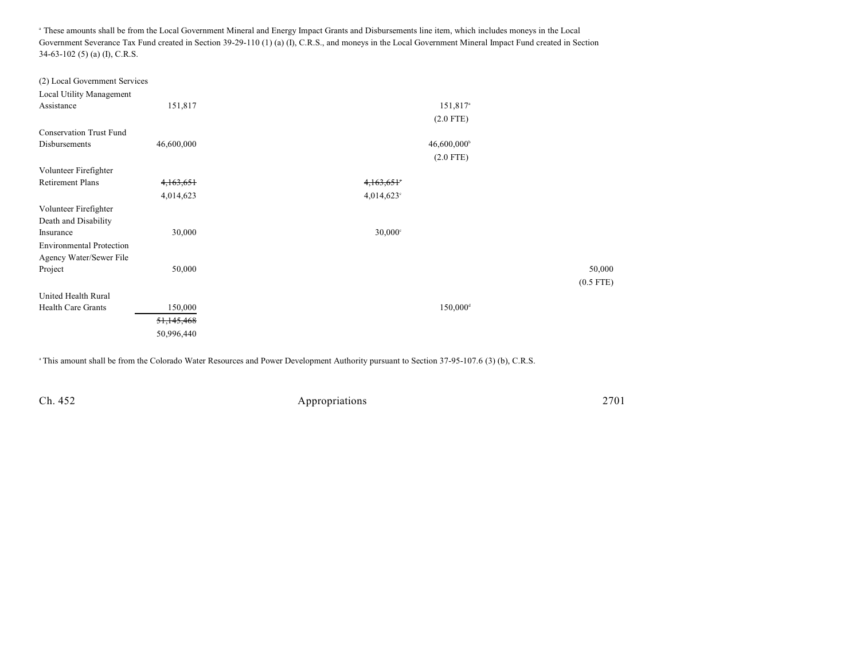<sup>a</sup> These amounts shall be from the Local Government Mineral and Energy Impact Grants and Disbursements line item, which includes moneys in the Local Government Severance Tax Fund created in Section 39-29-110 (1) (a) (I), C.R.S., and moneys in the Local Government Mineral Impact Fund created in Section 34-63-102 (5) (a) (I), C.R.S.

| 151,817    | $151,817$ <sup>a</sup>                  |             |
|------------|-----------------------------------------|-------------|
|            | $(2.0$ FTE)                             |             |
|            |                                         |             |
| 46,600,000 | $46,600,000$ <sup>b</sup>               |             |
|            | $(2.0$ FTE)                             |             |
|            |                                         |             |
| 4,163,651  | 4,163,651°                              |             |
| 4,014,623  | $4,014,623$ <sup>c</sup>                |             |
|            |                                         |             |
|            |                                         |             |
| 30,000     | $30,000$ c                              |             |
|            |                                         |             |
|            |                                         |             |
|            |                                         | 50,000      |
|            |                                         | $(0.5$ FTE) |
|            |                                         |             |
| 150,000    | $150,000$ <sup>d</sup>                  |             |
| 51,145,468 |                                         |             |
| 50,996,440 |                                         |             |
|            | (2) Local Government Services<br>50,000 |             |

<sup>a</sup> This amount shall be from the Colorado Water Resources and Power Development Authority pursuant to Section 37-95-107.6 (3) (b), C.R.S.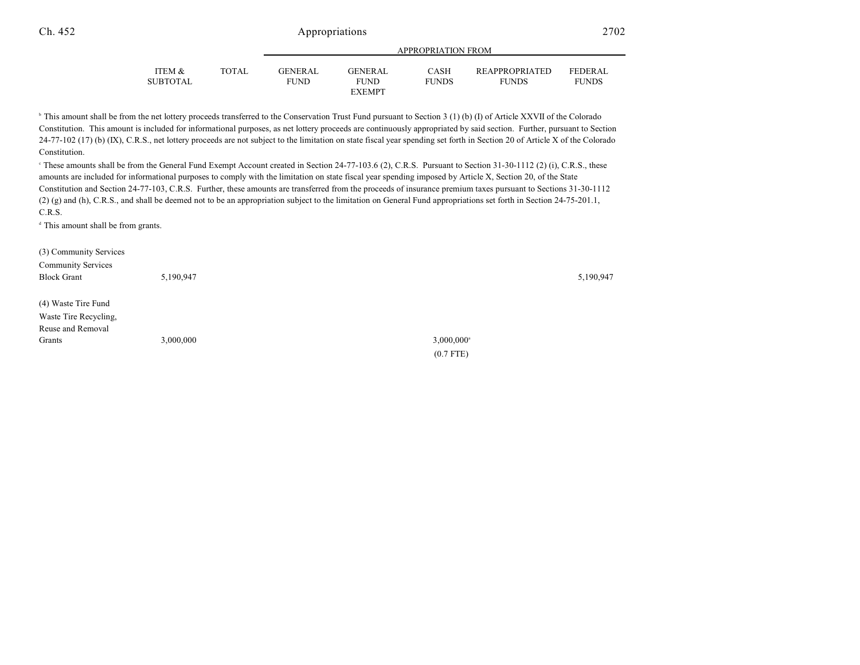|                   |              |                | ALLINOI INTERIORE LINORE |              |                       |                |  |  |
|-------------------|--------------|----------------|--------------------------|--------------|-----------------------|----------------|--|--|
|                   |              |                |                          |              |                       |                |  |  |
| <b>ITEM &amp;</b> | <b>TOTAL</b> | <b>GENERAL</b> | GENERAL                  | CASH         | <b>REAPPROPRIATED</b> | <b>FEDERAL</b> |  |  |
| SUBTOTAL          |              | FUND           | <b>FUND</b>              | <b>FUNDS</b> | <b>FUNDS</b>          | <b>FUNDS</b>   |  |  |
|                   |              |                | <b>EXEMPT</b>            |              |                       |                |  |  |

APPROPRIATION FROM

<sup>b</sup> This amount shall be from the net lottery proceeds transferred to the Conservation Trust Fund pursuant to Section 3 (1) (b) (I) of Article XXVII of the Colorado Constitution. This amount is included for informational purposes, as net lottery proceeds are continuously appropriated by said section. Further, pursuant to Section 24-77-102 (17) (b) (IX), C.R.S., net lottery proceeds are not subject to the limitation on state fiscal year spending set forth in Section 20 of Article X of the Colorado Constitution.

<sup>e</sup> These amounts shall be from the General Fund Exempt Account created in Section 24-77-103.6 (2), C.R.S. Pursuant to Section 31-30-1112 (2) (i), C.R.S., these amounts are included for informational purposes to comply with the limitation on state fiscal year spending imposed by Article X, Section 20, of the State Constitution and Section 24-77-103, C.R.S. Further, these amounts are transferred from the proceeds of insurance premium taxes pursuant to Sections 31-30-1112 (2) (g) and (h), C.R.S., and shall be deemed not to be an appropriation subject to the limitation on General Fund appropriations set forth in Section 24-75-201.1, C.R.S.

 $d$  This amount shall be from grants.

| (3) Community Services    |           |                          |  |
|---------------------------|-----------|--------------------------|--|
| <b>Community Services</b> |           |                          |  |
| <b>Block Grant</b>        | 5,190,947 | 5,190,947                |  |
|                           |           |                          |  |
| (4) Waste Tire Fund       |           |                          |  |
| Waste Tire Recycling,     |           |                          |  |
| Reuse and Removal         |           |                          |  |
| Grants                    | 3,000,000 | $3,000,000$ <sup>a</sup> |  |
|                           |           | $(0.7$ FTE)              |  |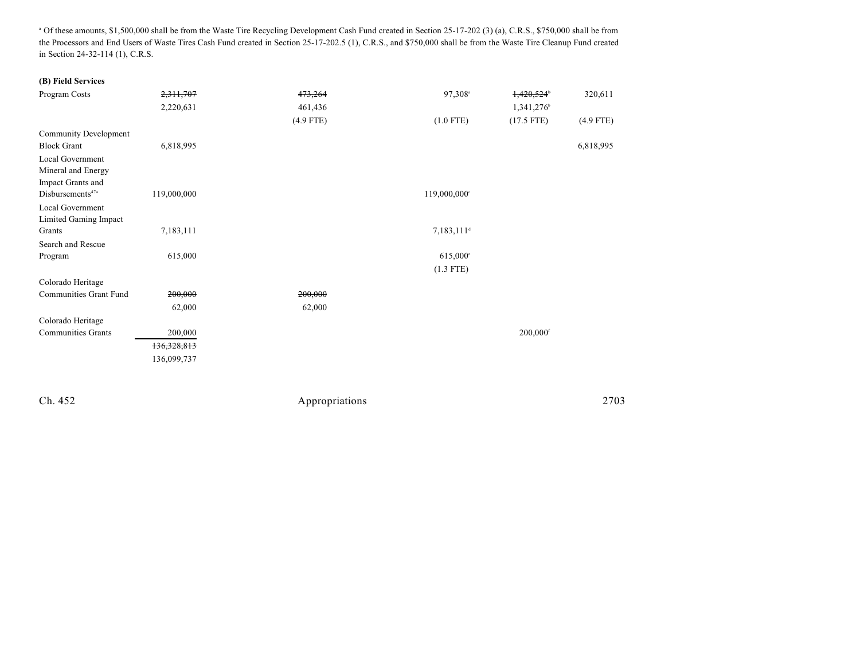<sup>a</sup> Of these amounts, \$1,500,000 shall be from the Waste Tire Recycling Development Cash Fund created in Section 25-17-202 (3) (a), C.R.S., \$750,000 shall be from the Processors and End Users of Waste Tires Cash Fund created in Section 25-17-202.5 (1), C.R.S., and \$750,000 shall be from the Waste Tire Cleanup Fund created in Section 24-32-114 (1), C.R.S.

| (B) Field Services                          |             |             |                          |                             |
|---------------------------------------------|-------------|-------------|--------------------------|-----------------------------|
| Program Costs                               | 2,311,707   | 473,264     | 97,308 <sup>a</sup>      | 1,420,524<br>320,611        |
|                                             | 2,220,631   | 461,436     |                          | 1,341,276                   |
|                                             |             | $(4.9$ FTE) | $(1.0$ FTE)              | $(17.5$ FTE)<br>$(4.9$ FTE) |
| <b>Community Development</b>                |             |             |                          |                             |
| <b>Block Grant</b>                          | 6,818,995   |             |                          | 6,818,995                   |
| Local Government                            |             |             |                          |                             |
| Mineral and Energy                          |             |             |                          |                             |
| Impact Grants and                           |             |             |                          |                             |
| Disbursements <sup>47a</sup>                | 119,000,000 |             | 119,000,000 <sup>c</sup> |                             |
| Local Government                            |             |             |                          |                             |
| Limited Gaming Impact<br>Grants             | 7,183,111   |             | $7,183,111$ <sup>d</sup> |                             |
| Search and Rescue                           |             |             |                          |                             |
| Program                                     | 615,000     |             | 615,000°                 |                             |
|                                             |             |             | $(1.3$ FTE)              |                             |
|                                             |             |             |                          |                             |
| Colorado Heritage<br>Communities Grant Fund | 200,000     | 200,000     |                          |                             |
|                                             | 62,000      | 62,000      |                          |                             |
|                                             |             |             |                          |                             |
| Colorado Heritage                           |             |             |                          |                             |
| <b>Communities Grants</b>                   | 200,000     |             |                          | 200,000 <sup>f</sup>        |
|                                             | 136,328,813 |             |                          |                             |
|                                             | 136,099,737 |             |                          |                             |
|                                             |             |             |                          |                             |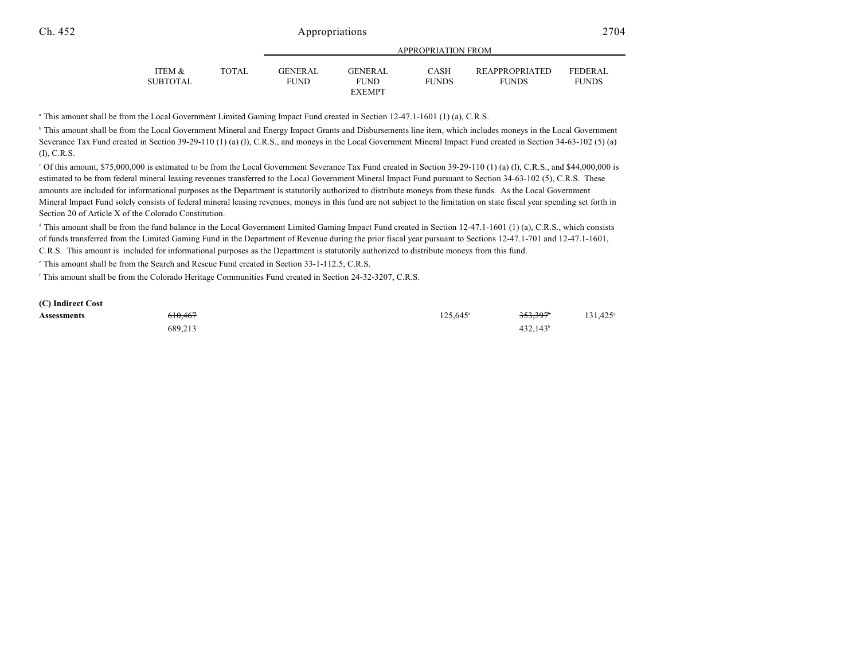| ITEM &   | <b>TOTAL</b> | <b>GENERAL</b> | <b>GENERAL</b> | <b>CASH</b>  | <b>REAPPROPRIATED</b> | <b>FEDERAL</b> |
|----------|--------------|----------------|----------------|--------------|-----------------------|----------------|
| SUBTOTAL |              | FUND.          | <b>FUND</b>    | <b>FUNDS</b> | <b>FUNDS</b>          | <b>FUNDS</b>   |
|          |              |                | <b>EXEMPT</b>  |              |                       |                |

APPROPRIATION FROM

<sup>a</sup> This amount shall be from the Local Government Limited Gaming Impact Fund created in Section 12-47.1-1601 (1) (a), C.R.S.

<sup>b</sup> This amount shall be from the Local Government Mineral and Energy Impact Grants and Disbursements line item, which includes moneys in the Local Government Severance Tax Fund created in Section 39-29-110 (1) (a) (I), C.R.S., and moneys in the Local Government Mineral Impact Fund created in Section 34-63-102 (5) (a) (I), C.R.S.

 Of this amount, \$75,000,000 is estimated to be from the Local Government Severance Tax Fund created in Section 39-29-110 (1) (a) (I), C.R.S., and \$44,000,000 is <sup>c</sup> estimated to be from federal mineral leasing revenues transferred to the Local Government Mineral Impact Fund pursuant to Section 34-63-102 (5), C.R.S. These amounts are included for informational purposes as the Department is statutorily authorized to distribute moneys from these funds. As the Local Government Mineral Impact Fund solely consists of federal mineral leasing revenues, moneys in this fund are not subject to the limitation on state fiscal year spending set forth in Section 20 of Article X of the Colorado Constitution.

<sup>d</sup> This amount shall be from the fund balance in the Local Government Limited Gaming Impact Fund created in Section 12-47.1-1601 (1) (a), C.R.S., which consists of funds transferred from the Limited Gaming Fund in the Department of Revenue during the prior fiscal year pursuant to Sections 12-47.1-701 and 12-47.1-1601, C.R.S. This amount is included for informational purposes as the Department is statutorily authorized to distribute moneys from this fund.

<sup>e</sup> This amount shall be from the Search and Rescue Fund created in Section 33-1-112.5, C.R.S.

<sup>f</sup> This amount shall be from the Colorado Heritage Communities Fund created in Section 24-32-3207, C.R.S.

| (C) Indirect Cost  |         |                   |                      |         |
|--------------------|---------|-------------------|----------------------|---------|
| <b>Assessments</b> | 610.467 | $125.645^{\circ}$ | 353.397 <sup>*</sup> | 131.425 |
|                    | 689.213 |                   | $432,143^{\circ}$    |         |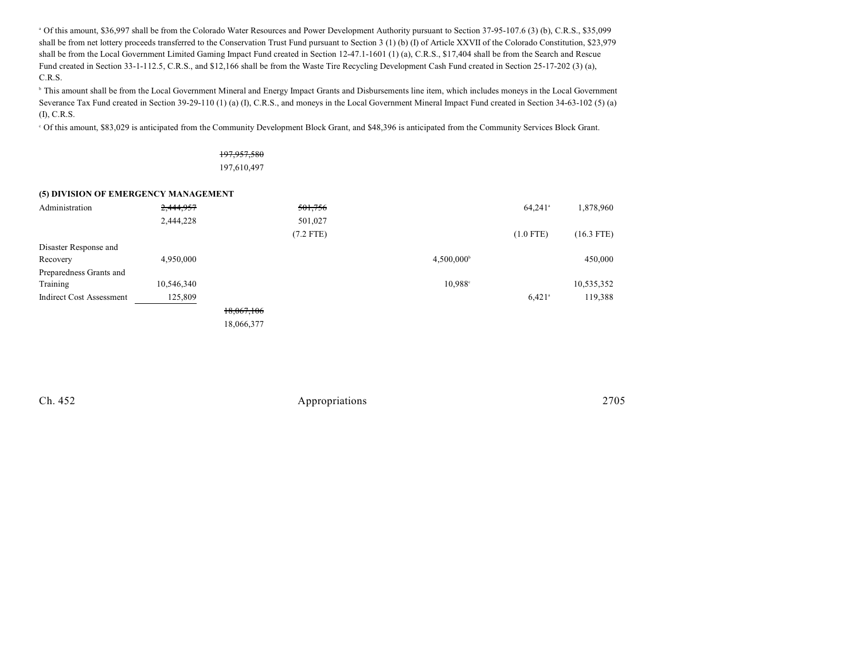Of this amount, \$36,997 shall be from the Colorado Water Resources and Power Development Authority pursuant to Section 37-95-107.6 (3) (b), C.R.S., \$35,099 <sup>a</sup> shall be from net lottery proceeds transferred to the Conservation Trust Fund pursuant to Section 3 (1) (b) (I) of Article XXVII of the Colorado Constitution, \$23,979 shall be from the Local Government Limited Gaming Impact Fund created in Section 12-47.1-1601 (1) (a), C.R.S., \$17,404 shall be from the Search and Rescue Fund created in Section 33-1-112.5, C.R.S., and \$12,166 shall be from the Waste Tire Recycling Development Cash Fund created in Section 25-17-202 (3) (a), C.R.S.

<sup>b</sup> This amount shall be from the Local Government Mineral and Energy Impact Grants and Disbursements line item, which includes moneys in the Local Government Severance Tax Fund created in Section 39-29-110 (1) (a) (I), C.R.S., and moneys in the Local Government Mineral Impact Fund created in Section 34-63-102 (5) (a) (I), C.R.S.

Of this amount, \$83,029 is anticipated from the Community Development Block Grant, and \$48,396 is anticipated from the Community Services Block Grant.

### 197,957,580 197,610,497

#### **(5) DIVISION OF EMERGENCY MANAGEMENT**

| Administration                  | 2,444,957  |            | 501,756     |                     | $64,241$ <sup>a</sup> | 1,878,960    |
|---------------------------------|------------|------------|-------------|---------------------|-----------------------|--------------|
|                                 | 2,444,228  |            | 501,027     |                     |                       |              |
|                                 |            |            | $(7.2$ FTE) |                     | $(1.0$ FTE)           | $(16.3$ FTE) |
| Disaster Response and           |            |            |             |                     |                       |              |
| Recovery                        | 4,950,000  |            |             | $4,500,000^{\circ}$ |                       | 450,000      |
| Preparedness Grants and         |            |            |             |                     |                       |              |
| Training                        | 10,546,340 |            |             | 10,988 <sup>c</sup> |                       | 10,535,352   |
| <b>Indirect Cost Assessment</b> | 125,809    |            |             |                     | $6,421$ <sup>a</sup>  | 119,388      |
|                                 |            | 18,067,106 |             |                     |                       |              |
|                                 |            | 18,066,377 |             |                     |                       |              |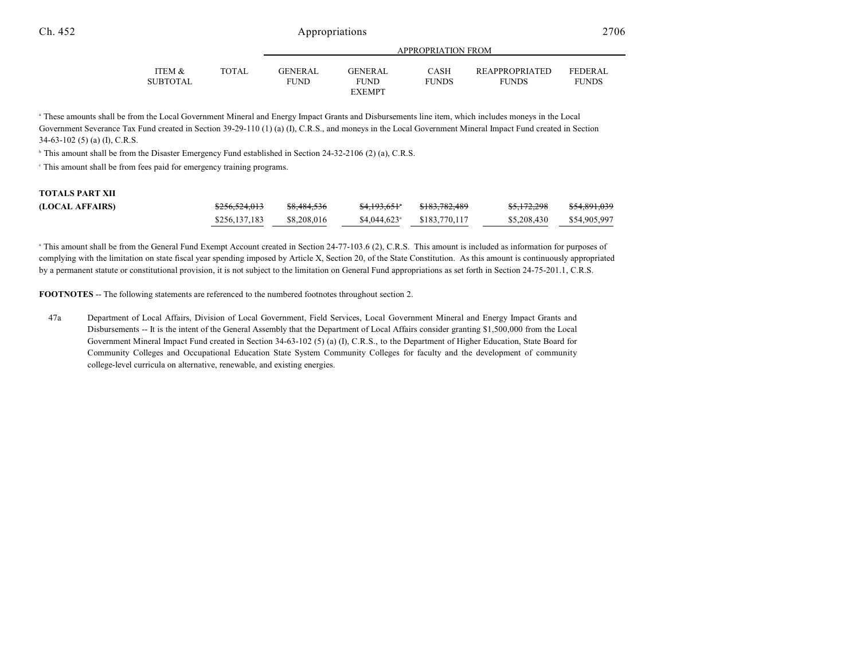| ITEM &          | <b>TOTAL</b> | <b>GENERAL</b> | <b>GENERAL</b> | CASH         | <b>REAPPROPRIATED</b> | <b>FEDERAL</b> |  |
|-----------------|--------------|----------------|----------------|--------------|-----------------------|----------------|--|
| <b>SUBTOTAL</b> |              | FUND           | <b>FUND</b>    | <b>FUNDS</b> | <b>FUNDS</b>          | <b>FUNDS</b>   |  |
|                 |              |                | <b>EXEMPT</b>  |              |                       |                |  |

APPROPRIATION FROM

<sup>a</sup> These amounts shall be from the Local Government Mineral and Energy Impact Grants and Disbursements line item, which includes moneys in the Local Government Severance Tax Fund created in Section 39-29-110 (1) (a) (I), C.R.S., and moneys in the Local Government Mineral Impact Fund created in Section 34-63-102 (5) (a) (I), C.R.S.

 $\textdegree$  This amount shall be from the Disaster Emergency Fund established in Section 24-32-2106 (2) (a), C.R.S.

This amount shall be from fees paid for emergency training programs. <sup>c</sup>

# **TOTALS PART XII**

| (LOCAL AFFAIRS) | <del>\$256,524,013</del> | \$8,484,536 | <del>\$4,193,651</del> *  | <del>\$183,782,489</del> | <del>\$5,172,298</del> | \$54,891,039 |
|-----------------|--------------------------|-------------|---------------------------|--------------------------|------------------------|--------------|
|                 | \$256,137,183            | \$8,208,016 | $$4.044.623$ <sup>a</sup> | \$183,770,117            | \$5,208,430            | \$54,905,997 |

<sup>a</sup> This amount shall be from the General Fund Exempt Account created in Section 24-77-103.6 (2), C.R.S. This amount is included as information for purposes of complying with the limitation on state fiscal year spending imposed by Article X, Section 20, of the State Constitution. As this amount is continuously appropriated by a permanent statute or constitutional provision, it is not subject to the limitation on General Fund appropriations as set forth in Section 24-75-201.1, C.R.S.

**FOOTNOTES** -- The following statements are referenced to the numbered footnotes throughout section 2.

47a Department of Local Affairs, Division of Local Government, Field Services, Local Government Mineral and Energy Impact Grants and Disbursements -- It is the intent of the General Assembly that the Department of Local Affairs consider granting \$1,500,000 from the Local Government Mineral Impact Fund created in Section 34-63-102 (5) (a) (I), C.R.S., to the Department of Higher Education, State Board for Community Colleges and Occupational Education State System Community Colleges for faculty and the development of community college-level curricula on alternative, renewable, and existing energies.